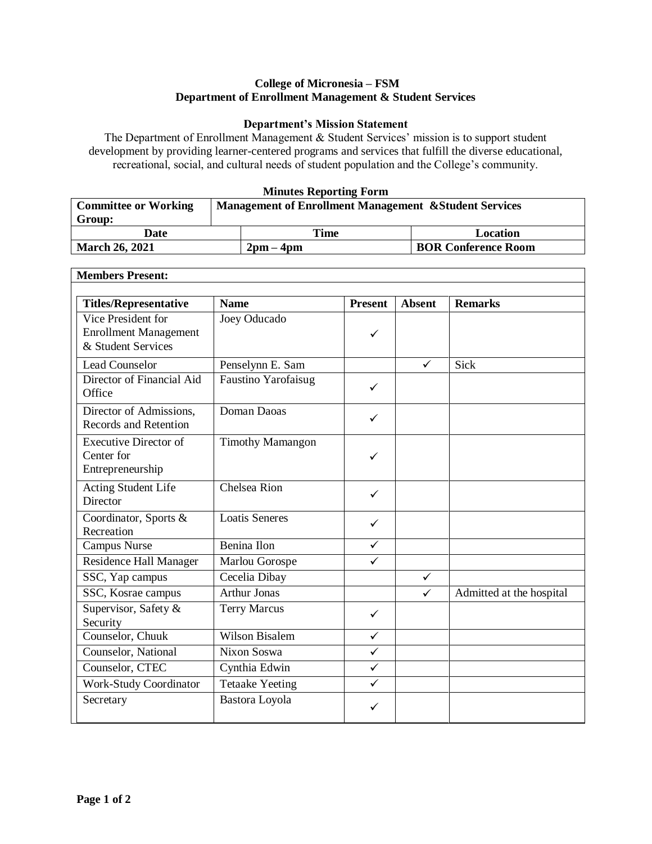## **College of Micronesia – FSM Department of Enrollment Management & Student Services**

## **Department's Mission Statement**

The Department of Enrollment Management & Student Services' mission is to support student development by providing learner-centered programs and services that fulfill the diverse educational, recreational, social, and cultural needs of student population and the College's community.

### **Minutes Reporting Form**

| <b>Committee or Working</b> | <b>Management of Enrollment Management &amp; Student Services</b> |           |                            |  |
|-----------------------------|-------------------------------------------------------------------|-----------|----------------------------|--|
| Group:                      |                                                                   |           |                            |  |
| Date                        |                                                                   | Time      | Location                   |  |
| <b>March 26, 2021</b>       |                                                                   | $2pm-4pm$ | <b>BOR Conference Room</b> |  |

٦

| <b>Members Present:</b>                                                  |                            |                |               |                          |  |
|--------------------------------------------------------------------------|----------------------------|----------------|---------------|--------------------------|--|
| <b>Titles/Representative</b>                                             | <b>Name</b>                | <b>Present</b> | <b>Absent</b> | <b>Remarks</b>           |  |
| Vice President for<br><b>Enrollment Management</b><br>& Student Services | Joey Oducado               | $\checkmark$   |               |                          |  |
| <b>Lead Counselor</b>                                                    | Penselynn E. Sam           |                | $\checkmark$  | Sick                     |  |
| Director of Financial Aid<br>Office                                      | <b>Faustino Yarofaisug</b> | $\checkmark$   |               |                          |  |
| Director of Admissions.<br>Records and Retention                         | Doman Daoas                | ✓              |               |                          |  |
| <b>Executive Director of</b><br>Center for<br>Entrepreneurship           | <b>Timothy Mamangon</b>    | ✓              |               |                          |  |
| Acting Student Life<br>Director                                          | <b>Chelsea Rion</b>        | ✓              |               |                          |  |
| Coordinator, Sports &<br>Recreation                                      | <b>Loatis Seneres</b>      | $\checkmark$   |               |                          |  |
| Campus Nurse                                                             | Benina Ilon                | $\checkmark$   |               |                          |  |
| Residence Hall Manager                                                   | Marlou Gorospe             | ✓              |               |                          |  |
| SSC, Yap campus                                                          | Cecelia Dibay              |                | $\checkmark$  |                          |  |
| SSC, Kosrae campus                                                       | <b>Arthur Jonas</b>        |                | $\checkmark$  | Admitted at the hospital |  |
| Supervisor, Safety &<br>Security                                         | <b>Terry Marcus</b>        | ✓              |               |                          |  |
| Counselor, Chuuk                                                         | <b>Wilson Bisalem</b>      | $\checkmark$   |               |                          |  |
| Counselor, National                                                      | Nixon Soswa                | ✓              |               |                          |  |
| Counselor, CTEC                                                          | Cynthia Edwin              | $\checkmark$   |               |                          |  |
| <b>Work-Study Coordinator</b>                                            | <b>Tetaake Yeeting</b>     | $\checkmark$   |               |                          |  |
| Secretary                                                                | Bastora Loyola             | ✓              |               |                          |  |